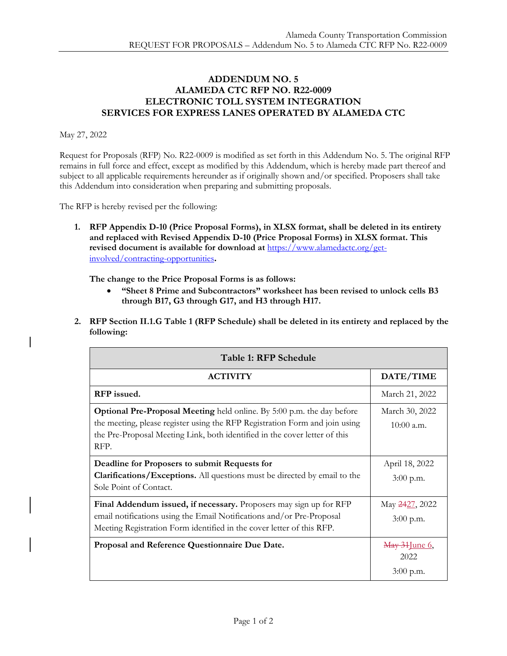## **ADDENDUM NO. 5 ALAMEDA CTC RFP NO. R22-0009 ELECTRONIC TOLL SYSTEM INTEGRATION SERVICES FOR EXPRESS LANES OPERATED BY ALAMEDA CTC**

## May 27, 2022

Request for Proposals (RFP) No. R22-0009 is modified as set forth in this Addendum No. 5. The original RFP remains in full force and effect, except as modified by this Addendum, which is hereby made part thereof and subject to all applicable requirements hereunder as if originally shown and/or specified. Proposers shall take this Addendum into consideration when preparing and submitting proposals.

The RFP is hereby revised per the following:

**1. RFP Appendix D-10 (Price Proposal Forms), in XLSX format, shall be deleted in its entirety and replaced with Revised Appendix D-10 (Price Proposal Forms) in XLSX format. This revised document is available for download at** [https://www.alamedactc.org/get](https://www.alamedactc.org/get-involved/contracting-opportunities)[involved/contracting-opportunities](https://www.alamedactc.org/get-involved/contracting-opportunities)**.**

**The change to the Price Proposal Forms is as follows:**

- **"Sheet 8 Prime and Subcontractors" worksheet has been revised to unlock cells B3 through B17, G3 through G17, and H3 through H17.**
- **2. RFP Section II.1.G Table 1 (RFP Schedule) shall be deleted in its entirety and replaced by the following:**

| Table 1: RFP Schedule                                                                                                                                                                                                                              |                                     |  |
|----------------------------------------------------------------------------------------------------------------------------------------------------------------------------------------------------------------------------------------------------|-------------------------------------|--|
| <b>ACTIVITY</b>                                                                                                                                                                                                                                    | DATE/TIME                           |  |
| RFP issued.                                                                                                                                                                                                                                        | March 21, 2022                      |  |
| <b>Optional Pre-Proposal Meeting</b> held online. By 5:00 p.m. the day before<br>the meeting, please register using the RFP Registration Form and join using<br>the Pre-Proposal Meeting Link, both identified in the cover letter of this<br>RFP. | March 30, 2022<br>$10:00$ a.m.      |  |
| Deadline for Proposers to submit Requests for<br><b>Clarifications/Exceptions.</b> All questions must be directed by email to the<br>Sole Point of Contact.                                                                                        | April 18, 2022<br>$3:00$ p.m.       |  |
| Final Addendum issued, if necessary. Proposers may sign up for RFP<br>email notifications using the Email Notifications and/or Pre-Proposal<br>Meeting Registration Form identified in the cover letter of this RFP.                               | May 2427, 2022<br>3:00 p.m.         |  |
| Proposal and Reference Questionnaire Due Date.                                                                                                                                                                                                     | May 31 June 6,<br>2022<br>3:00 p.m. |  |